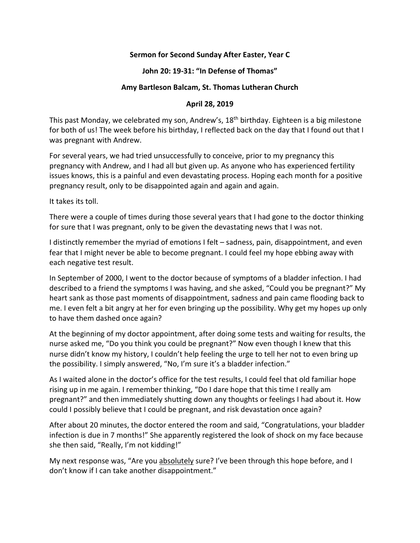# **Sermon for Second Sunday After Easter, Year C**

#### **John 20: 19-31: "In Defense of Thomas"**

## **Amy Bartleson Balcam, St. Thomas Lutheran Church**

## **April 28, 2019**

This past Monday, we celebrated my son, Andrew's, 18<sup>th</sup> birthday. Eighteen is a big milestone for both of us! The week before his birthday, I reflected back on the day that I found out that I was pregnant with Andrew.

For several years, we had tried unsuccessfully to conceive, prior to my pregnancy this pregnancy with Andrew, and I had all but given up. As anyone who has experienced fertility issues knows, this is a painful and even devastating process. Hoping each month for a positive pregnancy result, only to be disappointed again and again and again.

It takes its toll.

There were a couple of times during those several years that I had gone to the doctor thinking for sure that I was pregnant, only to be given the devastating news that I was not.

I distinctly remember the myriad of emotions I felt – sadness, pain, disappointment, and even fear that I might never be able to become pregnant. I could feel my hope ebbing away with each negative test result.

In September of 2000, I went to the doctor because of symptoms of a bladder infection. I had described to a friend the symptoms I was having, and she asked, "Could you be pregnant?" My heart sank as those past moments of disappointment, sadness and pain came flooding back to me. I even felt a bit angry at her for even bringing up the possibility. Why get my hopes up only to have them dashed once again?

At the beginning of my doctor appointment, after doing some tests and waiting for results, the nurse asked me, "Do you think you could be pregnant?" Now even though I knew that this nurse didn't know my history, I couldn't help feeling the urge to tell her not to even bring up the possibility. I simply answered, "No, I'm sure it's a bladder infection."

As I waited alone in the doctor's office for the test results, I could feel that old familiar hope rising up in me again. I remember thinking, "Do I dare hope that this time I really am pregnant?" and then immediately shutting down any thoughts or feelings I had about it. How could I possibly believe that I could be pregnant, and risk devastation once again?

After about 20 minutes, the doctor entered the room and said, "Congratulations, your bladder infection is due in 7 months!" She apparently registered the look of shock on my face because she then said, "Really, I'm not kidding!"

My next response was, "Are you absolutely sure? I've been through this hope before, and I don't know if I can take another disappointment."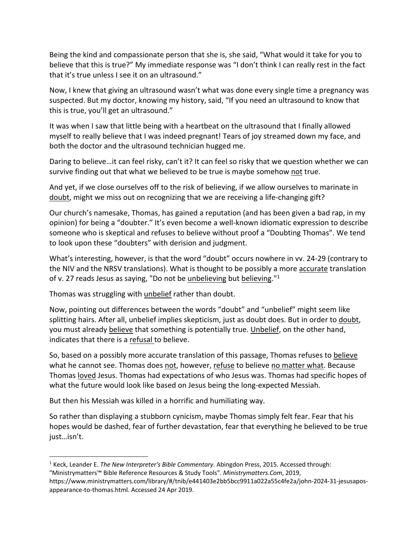Being the kind and compassionate person that she is, she said, "What would it take for you to believe that this is true?" My immediate response was "I don't think I can really rest in the fact that it's true unless I see it on an ultrasound."

Now, I knew that giving an ultrasound wasn't what was done every single time a pregnancy was suspected. But my doctor, knowing my history, said, "If you need an ultrasound to know that this is true, you'll get an ultrasound."

It was when I saw that little being with a heartbeat on the ultrasound that I finally allowed myself to really believe that I was indeed pregnant! Tears of joy streamed down my face, and both the doctor and the ultrasound technician hugged me.

Daring to believe…it can feel risky, can't it? It can feel so risky that we question whether we can survive finding out that what we believed to be true is maybe somehow not true.

And yet, if we close ourselves off to the risk of believing, if we allow ourselves to marinate in doubt, might we miss out on recognizing that we are receiving a life-changing gift?

Our church's namesake, Thomas, has gained a reputation (and has been given a bad rap, in my opinion) for being a "doubter." It's even become a well-known idiomatic expression to describe someone who is skeptical and refuses to believe without proof a "Doubting Thomas". We tend to look upon these "doubters" with derision and judgment.

What's interesting, however, is that the word "doubt" occurs nowhere in vv. 24-29 (contrary to the NIV and the NRSV translations). What is thought to be possibly a more accurate translation of v. 27 reads Jesus as saying, "Do not be unbelieving but believing."<sup>1</sup>

Thomas was struggling with unbelief rather than doubt.

Now, pointing out differences between the words "doubt" and "unbelief" might seem like splitting hairs. After all, unbelief implies skepticism, just as doubt does. But in order to doubt, you must already believe that something is potentially true. Unbelief, on the other hand, indicates that there is a refusal to believe.

So, based on a possibly more accurate translation of this passage, Thomas refuses to believe what he cannot see. Thomas does not, however, refuse to believe no matter what. Because Thomas loved Jesus. Thomas had expectations of who Jesus was. Thomas had specific hopes of what the future would look like based on Jesus being the long-expected Messiah.

But then his Messiah was killed in a horrific and humiliating way.

So rather than displaying a stubborn cynicism, maybe Thomas simply felt fear. Fear that his hopes would be dashed, fear of further devastation, fear that everything he believed to be true just…isn't.

 <sup>1</sup> Keck, Leander E. *The New Interpreter's Bible Commentary*. Abingdon Press, 2015. Accessed through: "Ministrymatters™ Bible Reference Resources & Study Tools". *Ministrymatters.Com*, 2019,

https://www.ministrymatters.com/library/#/tnib/e441403e2bb5bcc9911a022a55c4fe2a/john-2024-31-jesusaposappearance-to-thomas.html. Accessed 24 Apr 2019.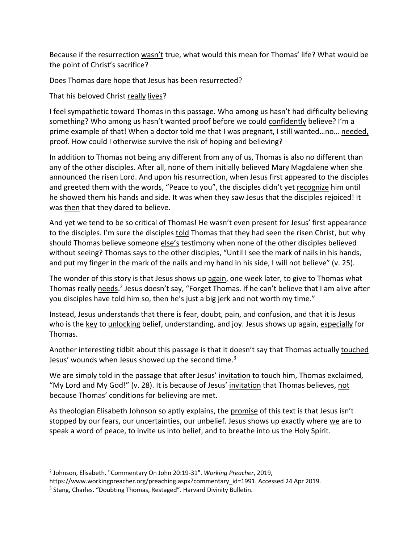Because if the resurrection wasn't true, what would this mean for Thomas' life? What would be the point of Christ's sacrifice?

Does Thomas dare hope that Jesus has been resurrected?

That his beloved Christ really lives?

I feel sympathetic toward Thomas in this passage. Who among us hasn't had difficulty believing something? Who among us hasn't wanted proof before we could confidently believe? I'm a prime example of that! When a doctor told me that I was pregnant, I still wanted…no… needed, proof. How could I otherwise survive the risk of hoping and believing?

In addition to Thomas not being any different from any of us, Thomas is also no different than any of the other disciples. After all, none of them initially believed Mary Magdalene when she announced the risen Lord. And upon his resurrection, when Jesus first appeared to the disciples and greeted them with the words, "Peace to you", the disciples didn't yet recognize him until he showed them his hands and side. It was when they saw Jesus that the disciples rejoiced! It was then that they dared to believe.

And yet we tend to be so critical of Thomas! He wasn't even present for Jesus' first appearance to the disciples. I'm sure the disciples told Thomas that they had seen the risen Christ, but why should Thomas believe someone else's testimony when none of the other disciples believed without seeing? Thomas says to the other disciples, "Until I see the mark of nails in his hands, and put my finger in the mark of the nails and my hand in his side, I will not believe" (v. 25).

The wonder of this story is that Jesus shows up again, one week later, to give to Thomas what Thomas really needs.<sup>2</sup> Jesus doesn't say, "Forget Thomas. If he can't believe that I am alive after you disciples have told him so, then he's just a big jerk and not worth my time."

Instead, Jesus understands that there is fear, doubt, pain, and confusion, and that it is Jesus who is the key to unlocking belief, understanding, and joy. Jesus shows up again, especially for Thomas.

Another interesting tidbit about this passage is that it doesn't say that Thomas actually touched Jesus' wounds when Jesus showed up the second time.<sup>3</sup>

We are simply told in the passage that after Jesus' invitation to touch him, Thomas exclaimed, "My Lord and My God!" (v. 28). It is because of Jesus' invitation that Thomas believes, not because Thomas' conditions for believing are met.

As theologian Elisabeth Johnson so aptly explains, the promise of this text is that Jesus isn't stopped by our fears, our uncertainties, our unbelief. Jesus shows up exactly where we are to speak a word of peace, to invite us into belief, and to breathe into us the Holy Spirit.

 <sup>2</sup> Johnson, Elisabeth. "Commentary On John 20:19-31". *Working Preacher*, 2019,

https://www.workingpreacher.org/preaching.aspx?commentary\_id=1991. Accessed 24 Apr 2019.

<sup>&</sup>lt;sup>3</sup> Stang, Charles. "Doubting Thomas, Restaged". Harvard Divinity Bulletin.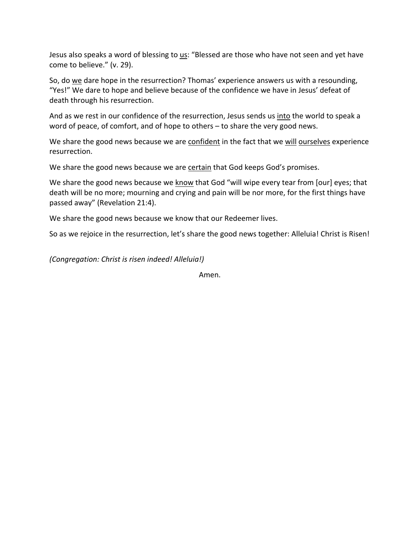Jesus also speaks a word of blessing to us: "Blessed are those who have not seen and yet have come to believe." (v. 29).

So, do we dare hope in the resurrection? Thomas' experience answers us with a resounding, "Yes!" We dare to hope and believe because of the confidence we have in Jesus' defeat of death through his resurrection.

And as we rest in our confidence of the resurrection, Jesus sends us into the world to speak a word of peace, of comfort, and of hope to others – to share the very good news.

We share the good news because we are confident in the fact that we will ourselves experience resurrection.

We share the good news because we are certain that God keeps God's promises.

We share the good news because we know that God "will wipe every tear from [our] eyes; that death will be no more; mourning and crying and pain will be nor more, for the first things have passed away" (Revelation 21:4).

We share the good news because we know that our Redeemer lives.

So as we rejoice in the resurrection, let's share the good news together: Alleluia! Christ is Risen!

*(Congregation: Christ is risen indeed! Alleluia!)*

Amen.